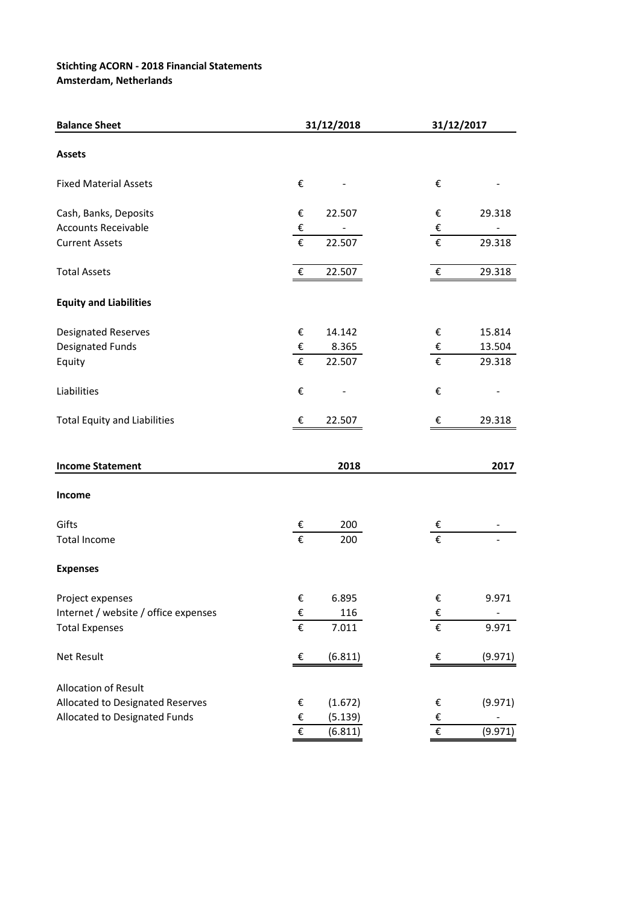## **Stichting ACORN - 2018 Financial Statements**

**Amsterdam, Netherlands**

| <b>Balance Sheet</b>                 |                         | 31/12/2018 | 31/12/2017              |         |  |  |
|--------------------------------------|-------------------------|------------|-------------------------|---------|--|--|
| <b>Assets</b>                        |                         |            |                         |         |  |  |
| <b>Fixed Material Assets</b>         | €                       |            | $\boldsymbol{\epsilon}$ |         |  |  |
| Cash, Banks, Deposits                | €                       | 22.507     | €                       | 29.318  |  |  |
| <b>Accounts Receivable</b>           | $\pmb{\epsilon}$        |            | $\boldsymbol{\epsilon}$ |         |  |  |
| <b>Current Assets</b>                | €                       | 22.507     | €                       | 29.318  |  |  |
| <b>Total Assets</b>                  | $\boldsymbol{\epsilon}$ | 22.507     | $\boldsymbol{\epsilon}$ | 29.318  |  |  |
| <b>Equity and Liabilities</b>        |                         |            |                         |         |  |  |
| <b>Designated Reserves</b>           | €                       | 14.142     | $\boldsymbol{\epsilon}$ | 15.814  |  |  |
| Designated Funds                     | $\pmb{\epsilon}$        | 8.365      | €                       | 13.504  |  |  |
| Equity                               | €                       | 22.507     | $\boldsymbol{\epsilon}$ | 29.318  |  |  |
| Liabilities                          | €                       |            | €                       |         |  |  |
| <b>Total Equity and Liabilities</b>  | €                       | 22.507     | €                       | 29.318  |  |  |
| <b>Income Statement</b>              |                         | 2018       |                         | 2017    |  |  |
| Income                               |                         |            |                         |         |  |  |
| Gifts                                | €                       | 200        | €                       |         |  |  |
| <b>Total Income</b>                  | €                       | 200        | €                       |         |  |  |
| <b>Expenses</b>                      |                         |            |                         |         |  |  |
| Project expenses                     | €                       | 6.895      | €                       | 9.971   |  |  |
| Internet / website / office expenses | $\boldsymbol{\epsilon}$ | 116        | $\epsilon$              |         |  |  |
| <b>Total Expenses</b>                | $\overline{\epsilon}$   | 7.011      | $\overline{\epsilon}$   | 9.971   |  |  |
| Net Result                           | €                       | (6.811)    | $\boldsymbol{\epsilon}$ | (9.971) |  |  |
| Allocation of Result                 |                         |            |                         |         |  |  |
| Allocated to Designated Reserves     | €                       | (1.672)    | €                       | (9.971) |  |  |
| Allocated to Designated Funds        | $\boldsymbol{\epsilon}$ | (5.139)    | $\pmb{\epsilon}$        |         |  |  |
|                                      | €                       | (6.811)    | $\overline{\epsilon}$   | (9.971) |  |  |